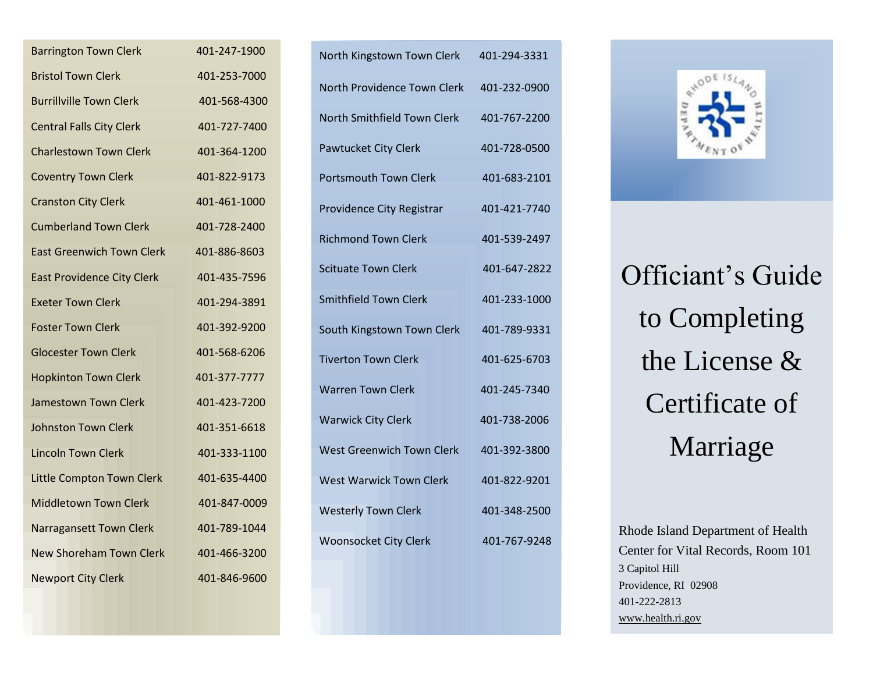| <b>Barrington Town Clerk</b>      | 401-247-1900 |
|-----------------------------------|--------------|
| <b>Bristol Town Clerk</b>         | 401-253-7000 |
| <b>Burrillville Town Clerk</b>    | 401-568-4300 |
| <b>Central Falls City Clerk</b>   | 401-727-7400 |
| <b>Charlestown Town Clerk</b>     | 401-364-1200 |
| <b>Coventry Town Clerk</b>        | 401-822-9173 |
| <b>Cranston City Clerk</b>        | 401-461-1000 |
| <b>Cumberland Town Clerk</b>      | 401-728-2400 |
| <b>East Greenwich Town Clerk</b>  | 401-886-8603 |
| <b>East Providence City Clerk</b> | 401-435-7596 |
| <b>Exeter Town Clerk</b>          | 401-294-3891 |
| <b>Foster Town Clerk</b>          | 401-392-9200 |
| <b>Glocester Town Clerk</b>       | 401-568-6206 |
| <b>Hopkinton Town Clerk</b>       | 401-377-7777 |
| <b>Jamestown Town Clerk</b>       | 401-423-7200 |
| <b>Johnston Town Clerk</b>        | 401-351-6618 |
| <b>Lincoln Town Clerk</b>         | 401-333-1100 |
| Little Compton Town Clerk         | 401-635-4400 |
| <b>Middletown Town Clerk</b>      | 401-847-0009 |
| Narragansett Town Clerk           | 401-789-1044 |
| <b>New Shoreham Town Clerk</b>    | 401-466-3200 |
| <b>Newport City Clerk</b>         | 401-846-9600 |

| North Kingstown Town Clerk       | 401-294-3331 |
|----------------------------------|--------------|
| North Providence Town Clerk      | 401-232-0900 |
| North Smithfield Town Clerk      | 401-767-2200 |
| <b>Pawtucket City Clerk</b>      | 401-728-0500 |
| <b>Portsmouth Town Clerk</b>     | 401-683-2101 |
| Providence City Registrar        | 401-421-7740 |
| <b>Richmond Town Clerk</b>       | 401-539-2497 |
| <b>Scituate Town Clerk</b>       | 401-647-2822 |
| <b>Smithfield Town Clerk</b>     | 401-233-1000 |
| South Kingstown Town Clerk       | 401-789-9331 |
| <b>Tiverton Town Clerk</b>       | 401-625-6703 |
| <b>Warren Town Clerk</b>         | 401-245-7340 |
| <b>Warwick City Clerk</b>        | 401-738-2006 |
| <b>West Greenwich Town Clerk</b> | 401-392-3800 |
| <b>West Warwick Town Clerk</b>   | 401-822-9201 |
| <b>Westerly Town Clerk</b>       | 401-348-2500 |
| <b>Woonsocket City Clerk</b>     | 401-767-9248 |



Officiant's Guide to Completing the License & Certificate of Marriage

Rhode Island Department of Health Center for Vital Records, Room 101 3 Capitol Hill Providence, RI 02908 401-222-2813 [www.health.ri.gov](http://www.health.ri.gov/)